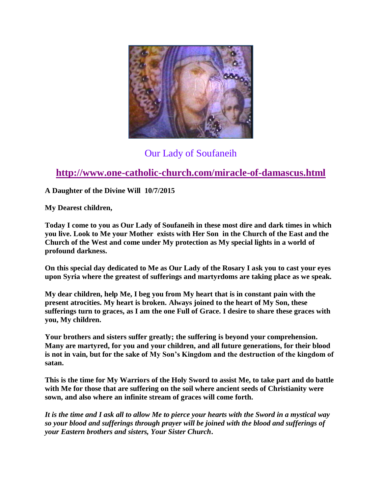

# Our Lady of Soufaneih

## **<http://www.one-catholic-church.com/miracle-of-damascus.html>**

**A Daughter of the Divine Will 10/7/2015** 

**My Dearest children,**

**Today I come to you as Our Lady of Soufaneih in these most dire and dark times in which you live. Look to Me your Mother exists with Her Son in the Church of the East and the Church of the West and come under My protection as My special lights in a world of profound darkness.**

**On this special day dedicated to Me as Our Lady of the Rosary I ask you to cast your eyes upon Syria where the greatest of sufferings and martyrdoms are taking place as we speak.** 

**My dear children, help Me, I beg you from My heart that is in constant pain with the present atrocities. My heart is broken. Always joined to the heart of My Son, these sufferings turn to graces, as I am the one Full of Grace. I desire to share these graces with you, My children.**

**Your brothers and sisters suffer greatly; the suffering is beyond your comprehension. Many are martyred, for you and your children, and all future generations, for their blood is not in vain, but for the sake of My Son's Kingdom and the destruction of the kingdom of satan.** 

**This is the time for My Warriors of the Holy Sword to assist Me, to take part and do battle with Me for those that are suffering on the soil where ancient seeds of Christianity were sown, and also where an infinite stream of graces will come forth.**

*It is the time and I ask all to allow Me to pierce your hearts with the Sword in a mystical way so your blood and sufferings through prayer will be joined with the blood and sufferings of your Eastern brothers and sisters, Your Sister Church***.**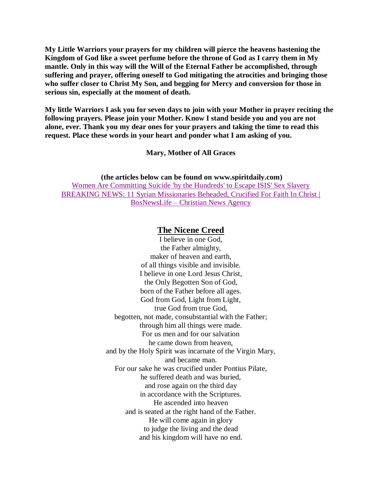**My Little Warriors your prayers for my children will pierce the heavens hastening the Kingdom of God like a sweet perfume before the throne of God as I carry them in My mantle. Only in this way will the Will of the Eternal Father be accomplished, through suffering and prayer, offering oneself to God mitigating the atrocities and bringing those who suffer closer to Christ My Son, and begging for Mercy and conversion for those in serious sin, especially at the moment of death.** 

**My little Warriors I ask you for seven days to join with your Mother in prayer reciting the following prayers. Please join your Mother. Know I stand beside you and you are not alone, ever. Thank you my dear ones for your prayers and taking the time to read this request. Place these words in your heart and ponder what I am asking of you.**

**Mary, Mother of All Graces**

**(the articles below can be found on www.spiritdaily.com)** [Women Are Committing Suicide 'by the Hundreds' to Escape ISIS' Sex Slavery](http://www.christianpost.com/news/women-are-committing-suicide-by-the-hundreds-to-escape-isis-sex-slavery-146990/) [BREAKING NEWS: 11 Syrian Missionaries Beheaded, Crucified For Faith In Christ |](http://www.bosnewslife.com/35773-breaking-news-11-syrian-missionaries-beheaded-crucified-for-faith-in-christ)  BosNewsLife – [Christian News Agency](http://www.bosnewslife.com/35773-breaking-news-11-syrian-missionaries-beheaded-crucified-for-faith-in-christ)

### **The Nicene Creed**

I believe in one God, the Father almighty, maker of heaven and earth, of all things visible and invisible. I believe in one Lord Jesus Christ, the Only Begotten Son of God, born of the Father before all ages. God from God, Light from Light, true God from true God, begotten, not made, consubstantial with the Father; through him all things were made. For us men and for our salvation he came down from heaven, and by the Holy Spirit was incarnate of the Virgin Mary, and became man. For our sake he was crucified under Pontius Pilate, he suffered death and was buried, and rose again on the third day in accordance with the Scriptures. He ascended into heaven and is seated at the right hand of the Father. He will come again in glory to judge the living and the dead and his kingdom will have no end.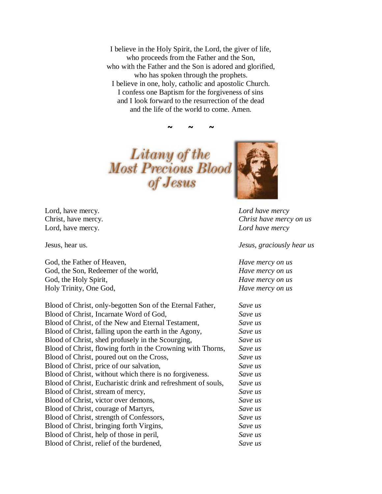I believe in the Holy Spirit, the Lord, the giver of life, who proceeds from the Father and the Son, who with the Father and the Son is adored and glorified, who has spoken through the prophets. I believe in one, holy, catholic and apostolic Church. I confess one Baptism for the forgiveness of sins and I look forward to the resurrection of the dead and the life of the world to come. Amen.

**~ ~ ~**

**Litany of the Most Precious Blood** of Jesus



Lord, have mercy. *Lord have mercy* Lord, have mercy. *Lord have mercy*

God, the Father of Heaven, *Have mercy on us* God, the Son, Redeemer of the world, *Have mercy on us* God, the Holy Spirit, *Have mercy on us* Holy Trinity, One God, *Have mercy on us*

| Blood of Christ, only-begotten Son of the Eternal Father,    | Save us |
|--------------------------------------------------------------|---------|
| Blood of Christ, Incarnate Word of God,                      | Save us |
| Blood of Christ, of the New and Eternal Testament,           | Save us |
| Blood of Christ, falling upon the earth in the Agony,        | Save us |
| Blood of Christ, shed profusely in the Scourging,            | Save us |
| Blood of Christ, flowing forth in the Crowning with Thorns,  | Save us |
| Blood of Christ, poured out on the Cross,                    | Save us |
| Blood of Christ, price of our salvation,                     | Save us |
| Blood of Christ, without which there is no forgiveness.      | Save us |
| Blood of Christ, Eucharistic drink and refreshment of souls, | Save us |
| Blood of Christ, stream of mercy,                            | Save us |
| Blood of Christ, victor over demons,                         | Save us |
| Blood of Christ, courage of Martyrs,                         | Save us |
| Blood of Christ, strength of Confessors,                     | Save us |
| Blood of Christ, bringing forth Virgins,                     | Save us |
| Blood of Christ, help of those in peril,                     | Save us |
| Blood of Christ, relief of the burdened,                     | Save us |

Christ, have mercy. *Christ have mercy on us*

Jesus, hear us. *Jesus*, *graciously hear us*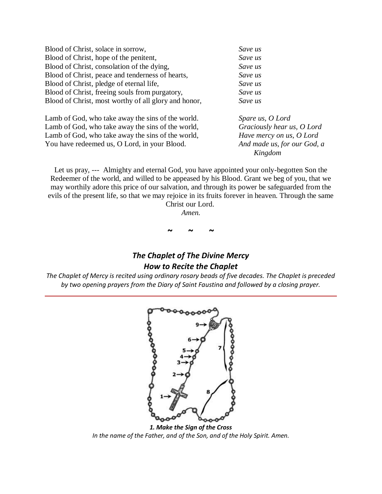| Blood of Christ, solace in sorrow,                   | Save us |
|------------------------------------------------------|---------|
| Blood of Christ, hope of the penitent,               | Save us |
| Blood of Christ, consolation of the dying,           | Save us |
| Blood of Christ, peace and tenderness of hearts,     | Save us |
| Blood of Christ, pledge of eternal life,             | Save us |
| Blood of Christ, freeing souls from purgatory,       | Save us |
| Blood of Christ, most worthy of all glory and honor, | Save us |
|                                                      |         |
|                                                      |         |

Lamb of God, who take away the sins of the world. *Spare us*, *O Lord* Lamb of God, who take away the sins of the world, *Graciously hear us, O Lord* Lamb of God, who take away the sins of the world, *Have mercy on us, O Lord* You have redeemed us, O Lord, in your Blood. *And made us, for our God, a*

*Kingdom*

Let us pray, --- Almighty and eternal God, you have appointed your only-begotten Son the Redeemer of the world, and willed to be appeased by his Blood. Grant we beg of you, that we may worthily adore this price of our salvation, and through its power be safeguarded from the evils of the present life, so that we may rejoice in its fruits forever in heaven. Through the same

Christ our Lord. *Amen.*

**~ ~ ~**

### *The Chaplet of The Divine Mercy How to Recite the Chaplet*

*The Chaplet of Mercy is recited using ordinary rosary beads of five decades. The Chaplet is preceded by two opening prayers from the Diary of Saint Faustina and followed by a closing prayer.*



*1. Make the Sign of the Cross In the name of the Father, and of the Son, and of the Holy Spirit. Amen.*